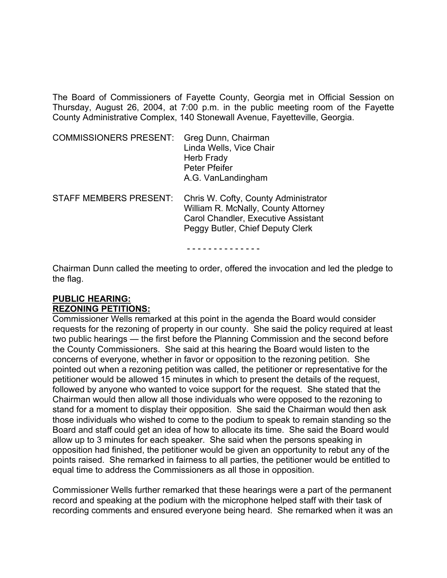The Board of Commissioners of Fayette County, Georgia met in Official Session on Thursday, August 26, 2004, at 7:00 p.m. in the public meeting room of the Fayette County Administrative Complex, 140 Stonewall Avenue, Fayetteville, Georgia.

| <b>COMMISSIONERS PRESENT:</b> | Greg Dunn, Chairman<br>Linda Wells, Vice Chair<br>Herb Frady<br>Peter Pfeifer<br>A.G. VanLandingham |
|-------------------------------|-----------------------------------------------------------------------------------------------------|
|                               |                                                                                                     |

STAFF MEMBERS PRESENT: Chris W. Cofty, County Administrator William R. McNally, County Attorney Carol Chandler, Executive Assistant Peggy Butler, Chief Deputy Clerk

- - - - - - - - - - - - - -

Chairman Dunn called the meeting to order, offered the invocation and led the pledge to the flag.

#### **PUBLIC HEARING: REZONING PETITIONS:**

Commissioner Wells remarked at this point in the agenda the Board would consider requests for the rezoning of property in our county. She said the policy required at least two public hearings — the first before the Planning Commission and the second before the County Commissioners. She said at this hearing the Board would listen to the concerns of everyone, whether in favor or opposition to the rezoning petition. She pointed out when a rezoning petition was called, the petitioner or representative for the petitioner would be allowed 15 minutes in which to present the details of the request, followed by anyone who wanted to voice support for the request. She stated that the Chairman would then allow all those individuals who were opposed to the rezoning to stand for a moment to display their opposition. She said the Chairman would then ask those individuals who wished to come to the podium to speak to remain standing so the Board and staff could get an idea of how to allocate its time. She said the Board would allow up to 3 minutes for each speaker. She said when the persons speaking in opposition had finished, the petitioner would be given an opportunity to rebut any of the points raised. She remarked in fairness to all parties, the petitioner would be entitled to equal time to address the Commissioners as all those in opposition.

Commissioner Wells further remarked that these hearings were a part of the permanent record and speaking at the podium with the microphone helped staff with their task of recording comments and ensured everyone being heard. She remarked when it was an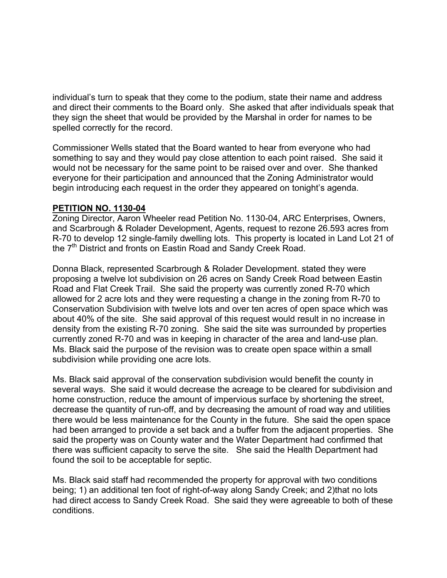individual's turn to speak that they come to the podium, state their name and address and direct their comments to the Board only. She asked that after individuals speak that they sign the sheet that would be provided by the Marshal in order for names to be spelled correctly for the record.

Commissioner Wells stated that the Board wanted to hear from everyone who had something to say and they would pay close attention to each point raised. She said it would not be necessary for the same point to be raised over and over. She thanked everyone for their participation and announced that the Zoning Administrator would begin introducing each request in the order they appeared on tonight's agenda.

#### **PETITION NO. 1130-04**

Zoning Director, Aaron Wheeler read Petition No. 1130-04, ARC Enterprises, Owners, and Scarbrough & Rolader Development, Agents, request to rezone 26.593 acres from R-70 to develop 12 single-family dwelling lots. This property is located in Land Lot 21 of the 7<sup>th</sup> District and fronts on Eastin Road and Sandy Creek Road.

Donna Black, represented Scarbrough & Rolader Development. stated they were proposing a twelve lot subdivision on 26 acres on Sandy Creek Road between Eastin Road and Flat Creek Trail. She said the property was currently zoned R-70 which allowed for 2 acre lots and they were requesting a change in the zoning from R-70 to Conservation Subdivision with twelve lots and over ten acres of open space which was about 40% of the site. She said approval of this request would result in no increase in density from the existing R-70 zoning. She said the site was surrounded by properties currently zoned R-70 and was in keeping in character of the area and land-use plan. Ms. Black said the purpose of the revision was to create open space within a small subdivision while providing one acre lots.

Ms. Black said approval of the conservation subdivision would benefit the county in several ways. She said it would decrease the acreage to be cleared for subdivision and home construction, reduce the amount of impervious surface by shortening the street, decrease the quantity of run-off, and by decreasing the amount of road way and utilities there would be less maintenance for the County in the future. She said the open space had been arranged to provide a set back and a buffer from the adjacent properties. She said the property was on County water and the Water Department had confirmed that there was sufficient capacity to serve the site. She said the Health Department had found the soil to be acceptable for septic.

Ms. Black said staff had recommended the property for approval with two conditions being; 1) an additional ten foot of right-of-way along Sandy Creek; and 2)that no lots had direct access to Sandy Creek Road. She said they were agreeable to both of these conditions.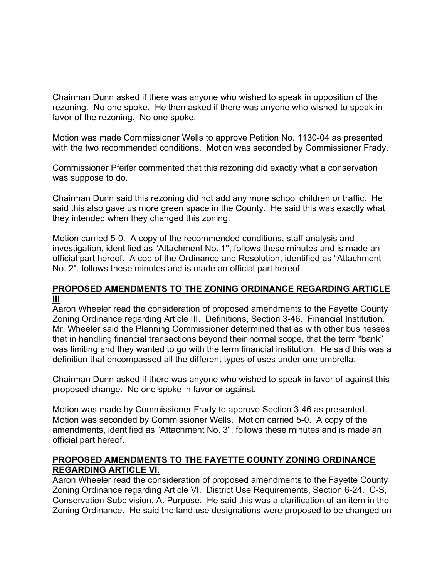Chairman Dunn asked if there was anyone who wished to speak in opposition of the rezoning. No one spoke. He then asked if there was anyone who wished to speak in favor of the rezoning. No one spoke.

Motion was made Commissioner Wells to approve Petition No. 1130-04 as presented with the two recommended conditions. Motion was seconded by Commissioner Frady.

Commissioner Pfeifer commented that this rezoning did exactly what a conservation was suppose to do.

Chairman Dunn said this rezoning did not add any more school children or traffic. He said this also gave us more green space in the County. He said this was exactly what they intended when they changed this zoning.

Motion carried 5-0. A copy of the recommended conditions, staff analysis and investigation, identified as "Attachment No. 1", follows these minutes and is made an official part hereof. A cop of the Ordinance and Resolution, identified as "Attachment No. 2", follows these minutes and is made an official part hereof.

### **PROPOSED AMENDMENTS TO THE ZONING ORDINANCE REGARDING ARTICLE III**

Aaron Wheeler read the consideration of proposed amendments to the Fayette County Zoning Ordinance regarding Article III. Definitions, Section 3-46. Financial Institution. Mr. Wheeler said the Planning Commissioner determined that as with other businesses that in handling financial transactions beyond their normal scope, that the term "bank" was limiting and they wanted to go with the term financial institution. He said this was a definition that encompassed all the different types of uses under one umbrella.

Chairman Dunn asked if there was anyone who wished to speak in favor of against this proposed change. No one spoke in favor or against.

Motion was made by Commissioner Frady to approve Section 3-46 as presented. Motion was seconded by Commissioner Wells. Motion carried 5-0. A copy of the amendments, identified as "Attachment No. 3", follows these minutes and is made an official part hereof.

### **PROPOSED AMENDMENTS TO THE FAYETTE COUNTY ZONING ORDINANCE REGARDING ARTICLE VI.**

Aaron Wheeler read the consideration of proposed amendments to the Fayette County Zoning Ordinance regarding Article VI. District Use Requirements, Section 6-24. C-S, Conservation Subdivision, A. Purpose. He said this was a clarification of an item in the Zoning Ordinance. He said the land use designations were proposed to be changed on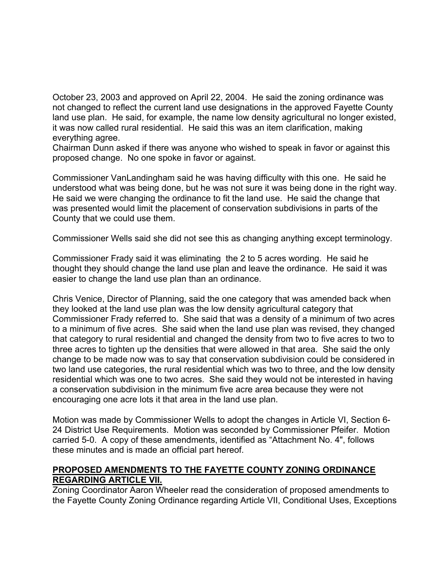October 23, 2003 and approved on April 22, 2004. He said the zoning ordinance was not changed to reflect the current land use designations in the approved Fayette County land use plan. He said, for example, the name low density agricultural no longer existed, it was now called rural residential. He said this was an item clarification, making everything agree.

Chairman Dunn asked if there was anyone who wished to speak in favor or against this proposed change. No one spoke in favor or against.

Commissioner VanLandingham said he was having difficulty with this one. He said he understood what was being done, but he was not sure it was being done in the right way. He said we were changing the ordinance to fit the land use. He said the change that was presented would limit the placement of conservation subdivisions in parts of the County that we could use them.

Commissioner Wells said she did not see this as changing anything except terminology.

Commissioner Frady said it was eliminating the 2 to 5 acres wording. He said he thought they should change the land use plan and leave the ordinance. He said it was easier to change the land use plan than an ordinance.

Chris Venice, Director of Planning, said the one category that was amended back when they looked at the land use plan was the low density agricultural category that Commissioner Frady referred to. She said that was a density of a minimum of two acres to a minimum of five acres. She said when the land use plan was revised, they changed that category to rural residential and changed the density from two to five acres to two to three acres to tighten up the densities that were allowed in that area. She said the only change to be made now was to say that conservation subdivision could be considered in two land use categories, the rural residential which was two to three, and the low density residential which was one to two acres. She said they would not be interested in having a conservation subdivision in the minimum five acre area because they were not encouraging one acre lots it that area in the land use plan.

Motion was made by Commissioner Wells to adopt the changes in Article VI, Section 6- 24 District Use Requirements. Motion was seconded by Commissioner Pfeifer. Motion carried 5-0. A copy of these amendments, identified as "Attachment No. 4", follows these minutes and is made an official part hereof.

## **PROPOSED AMENDMENTS TO THE FAYETTE COUNTY ZONING ORDINANCE REGARDING ARTICLE VII.**

Zoning Coordinator Aaron Wheeler read the consideration of proposed amendments to the Fayette County Zoning Ordinance regarding Article VII, Conditional Uses, Exceptions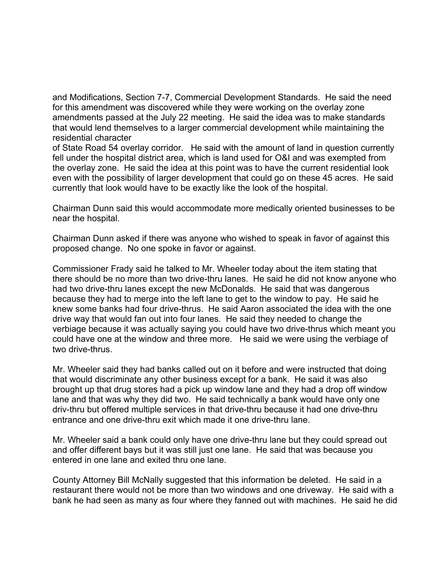and Modifications, Section 7-7, Commercial Development Standards. He said the need for this amendment was discovered while they were working on the overlay zone amendments passed at the July 22 meeting. He said the idea was to make standards that would lend themselves to a larger commercial development while maintaining the residential character

of State Road 54 overlay corridor. He said with the amount of land in question currently fell under the hospital district area, which is land used for O&I and was exempted from the overlay zone. He said the idea at this point was to have the current residential look even with the possibility of larger development that could go on these 45 acres. He said currently that look would have to be exactly like the look of the hospital.

Chairman Dunn said this would accommodate more medically oriented businesses to be near the hospital.

Chairman Dunn asked if there was anyone who wished to speak in favor of against this proposed change. No one spoke in favor or against.

Commissioner Frady said he talked to Mr. Wheeler today about the item stating that there should be no more than two drive-thru lanes. He said he did not know anyone who had two drive-thru lanes except the new McDonalds. He said that was dangerous because they had to merge into the left lane to get to the window to pay. He said he knew some banks had four drive-thrus. He said Aaron associated the idea with the one drive way that would fan out into four lanes. He said they needed to change the verbiage because it was actually saying you could have two drive-thrus which meant you could have one at the window and three more. He said we were using the verbiage of two drive-thrus.

Mr. Wheeler said they had banks called out on it before and were instructed that doing that would discriminate any other business except for a bank. He said it was also brought up that drug stores had a pick up window lane and they had a drop off window lane and that was why they did two. He said technically a bank would have only one driv-thru but offered multiple services in that drive-thru because it had one drive-thru entrance and one drive-thru exit which made it one drive-thru lane.

Mr. Wheeler said a bank could only have one drive-thru lane but they could spread out and offer different bays but it was still just one lane. He said that was because you entered in one lane and exited thru one lane.

County Attorney Bill McNally suggested that this information be deleted. He said in a restaurant there would not be more than two windows and one driveway. He said with a bank he had seen as many as four where they fanned out with machines. He said he did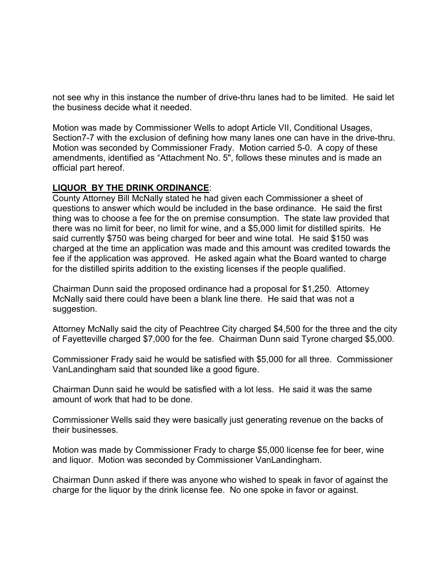not see why in this instance the number of drive-thru lanes had to be limited. He said let the business decide what it needed.

Motion was made by Commissioner Wells to adopt Article VII, Conditional Usages, Section7-7 with the exclusion of defining how many lanes one can have in the drive-thru. Motion was seconded by Commissioner Frady. Motion carried 5-0. A copy of these amendments, identified as "Attachment No. 5", follows these minutes and is made an official part hereof.

# **LIQUOR BY THE DRINK ORDINANCE**:

County Attorney Bill McNally stated he had given each Commissioner a sheet of questions to answer which would be included in the base ordinance. He said the first thing was to choose a fee for the on premise consumption. The state law provided that there was no limit for beer, no limit for wine, and a \$5,000 limit for distilled spirits. He said currently \$750 was being charged for beer and wine total. He said \$150 was charged at the time an application was made and this amount was credited towards the fee if the application was approved. He asked again what the Board wanted to charge for the distilled spirits addition to the existing licenses if the people qualified.

Chairman Dunn said the proposed ordinance had a proposal for \$1,250. Attorney McNally said there could have been a blank line there. He said that was not a suggestion.

Attorney McNally said the city of Peachtree City charged \$4,500 for the three and the city of Fayetteville charged \$7,000 for the fee. Chairman Dunn said Tyrone charged \$5,000.

Commissioner Frady said he would be satisfied with \$5,000 for all three. Commissioner VanLandingham said that sounded like a good figure.

Chairman Dunn said he would be satisfied with a lot less. He said it was the same amount of work that had to be done.

Commissioner Wells said they were basically just generating revenue on the backs of their businesses.

Motion was made by Commissioner Frady to charge \$5,000 license fee for beer, wine and liquor. Motion was seconded by Commissioner VanLandingham.

Chairman Dunn asked if there was anyone who wished to speak in favor of against the charge for the liquor by the drink license fee. No one spoke in favor or against.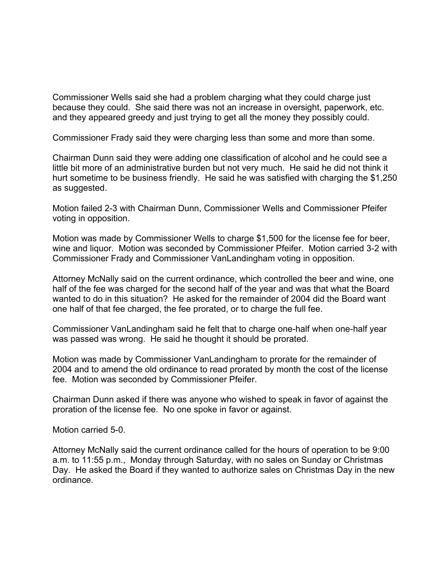Commissioner Wells said she had a problem charging what they could charge just because they could. She said there was not an increase in oversight, paperwork, etc. and they appeared greedy and just trying to get all the money they possibly could.

Commissioner Frady said they were charging less than some and more than some.

Chairman Dunn said they were adding one classification of alcohol and he could see a little bit more of an administrative burden but not very much. He said he did not think it hurt sometime to be business friendly. He said he was satisfied with charging the \$1,250 as suggested.

Motion failed 2-3 with Chairman Dunn, Commissioner Wells and Commissioner Pfeifer voting in opposition.

Motion was made by Commissioner Wells to charge \$1,500 for the license fee for beer, wine and liquor. Motion was seconded by Commissioner Pfeifer. Motion carried 3-2 with Commissioner Frady and Commissioner VanLandingham voting in opposition.

Attorney McNally said on the current ordinance, which controlled the beer and wine, one half of the fee was charged for the second half of the year and was that what the Board wanted to do in this situation? He asked for the remainder of 2004 did the Board want one half of that fee charged, the fee prorated, or to charge the full fee.

Commissioner VanLandingham said he felt that to charge one-half when one-half year was passed was wrong. He said he thought it should be prorated.

Motion was made by Commissioner VanLandingham to prorate for the remainder of 2004 and to amend the old ordinance to read prorated by month the cost of the license fee. Motion was seconded by Commissioner Pfeifer.

Chairman Dunn asked if there was anyone who wished to speak in favor of against the proration of the license fee. No one spoke in favor or against.

Motion carried 5-0.

Attorney McNally said the current ordinance called for the hours of operation to be 9:00 a.m. to 11:55 p.m., Monday through Saturday, with no sales on Sunday or Christmas Day. He asked the Board if they wanted to authorize sales on Christmas Day in the new ordinance.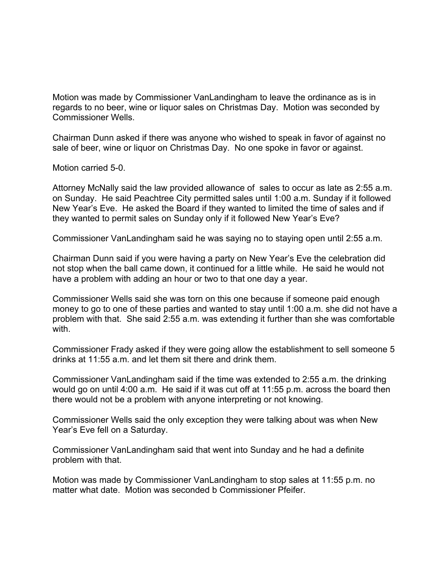Motion was made by Commissioner VanLandingham to leave the ordinance as is in regards to no beer, wine or liquor sales on Christmas Day. Motion was seconded by Commissioner Wells.

Chairman Dunn asked if there was anyone who wished to speak in favor of against no sale of beer, wine or liquor on Christmas Day. No one spoke in favor or against.

Motion carried 5-0.

Attorney McNally said the law provided allowance of sales to occur as late as 2:55 a.m. on Sunday. He said Peachtree City permitted sales until 1:00 a.m. Sunday if it followed New Year's Eve. He asked the Board if they wanted to limited the time of sales and if they wanted to permit sales on Sunday only if it followed New Year's Eve?

Commissioner VanLandingham said he was saying no to staying open until 2:55 a.m.

Chairman Dunn said if you were having a party on New Year's Eve the celebration did not stop when the ball came down, it continued for a little while. He said he would not have a problem with adding an hour or two to that one day a year.

Commissioner Wells said she was torn on this one because if someone paid enough money to go to one of these parties and wanted to stay until 1:00 a.m. she did not have a problem with that. She said 2:55 a.m. was extending it further than she was comfortable with.

Commissioner Frady asked if they were going allow the establishment to sell someone 5 drinks at 11:55 a.m. and let them sit there and drink them.

Commissioner VanLandingham said if the time was extended to 2:55 a.m. the drinking would go on until 4:00 a.m. He said if it was cut off at 11:55 p.m. across the board then there would not be a problem with anyone interpreting or not knowing.

Commissioner Wells said the only exception they were talking about was when New Year's Eve fell on a Saturday.

Commissioner VanLandingham said that went into Sunday and he had a definite problem with that.

Motion was made by Commissioner VanLandingham to stop sales at 11:55 p.m. no matter what date. Motion was seconded b Commissioner Pfeifer.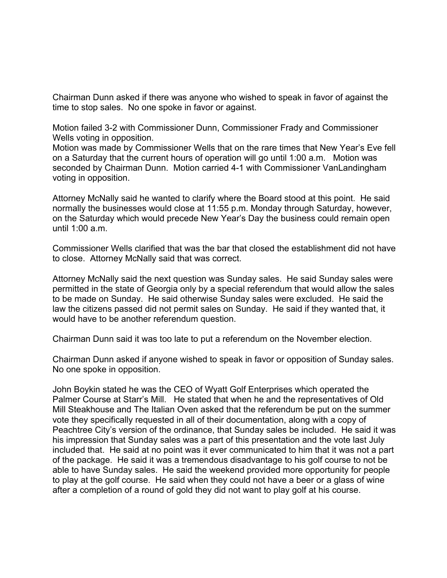Chairman Dunn asked if there was anyone who wished to speak in favor of against the time to stop sales. No one spoke in favor or against.

Motion failed 3-2 with Commissioner Dunn, Commissioner Frady and Commissioner Wells voting in opposition.

Motion was made by Commissioner Wells that on the rare times that New Year's Eve fell on a Saturday that the current hours of operation will go until 1:00 a.m. Motion was seconded by Chairman Dunn. Motion carried 4-1 with Commissioner VanLandingham voting in opposition.

Attorney McNally said he wanted to clarify where the Board stood at this point. He said normally the businesses would close at 11:55 p.m. Monday through Saturday, however, on the Saturday which would precede New Year's Day the business could remain open until 1:00 a.m.

Commissioner Wells clarified that was the bar that closed the establishment did not have to close. Attorney McNally said that was correct.

Attorney McNally said the next question was Sunday sales. He said Sunday sales were permitted in the state of Georgia only by a special referendum that would allow the sales to be made on Sunday. He said otherwise Sunday sales were excluded. He said the law the citizens passed did not permit sales on Sunday. He said if they wanted that, it would have to be another referendum question.

Chairman Dunn said it was too late to put a referendum on the November election.

Chairman Dunn asked if anyone wished to speak in favor or opposition of Sunday sales. No one spoke in opposition.

John Boykin stated he was the CEO of Wyatt Golf Enterprises which operated the Palmer Course at Starr's Mill. He stated that when he and the representatives of Old Mill Steakhouse and The Italian Oven asked that the referendum be put on the summer vote they specifically requested in all of their documentation, along with a copy of Peachtree City's version of the ordinance, that Sunday sales be included. He said it was his impression that Sunday sales was a part of this presentation and the vote last July included that. He said at no point was it ever communicated to him that it was not a part of the package. He said it was a tremendous disadvantage to his golf course to not be able to have Sunday sales. He said the weekend provided more opportunity for people to play at the golf course. He said when they could not have a beer or a glass of wine after a completion of a round of gold they did not want to play golf at his course.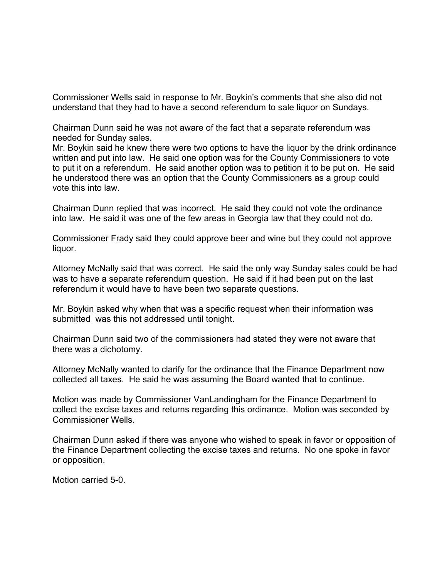Commissioner Wells said in response to Mr. Boykin's comments that she also did not understand that they had to have a second referendum to sale liquor on Sundays.

Chairman Dunn said he was not aware of the fact that a separate referendum was needed for Sunday sales.

Mr. Boykin said he knew there were two options to have the liquor by the drink ordinance written and put into law. He said one option was for the County Commissioners to vote to put it on a referendum. He said another option was to petition it to be put on. He said he understood there was an option that the County Commissioners as a group could vote this into law.

Chairman Dunn replied that was incorrect. He said they could not vote the ordinance into law. He said it was one of the few areas in Georgia law that they could not do.

Commissioner Frady said they could approve beer and wine but they could not approve liquor.

Attorney McNally said that was correct. He said the only way Sunday sales could be had was to have a separate referendum question. He said if it had been put on the last referendum it would have to have been two separate questions.

Mr. Boykin asked why when that was a specific request when their information was submitted was this not addressed until tonight.

Chairman Dunn said two of the commissioners had stated they were not aware that there was a dichotomy.

Attorney McNally wanted to clarify for the ordinance that the Finance Department now collected all taxes. He said he was assuming the Board wanted that to continue.

Motion was made by Commissioner VanLandingham for the Finance Department to collect the excise taxes and returns regarding this ordinance. Motion was seconded by Commissioner Wells.

Chairman Dunn asked if there was anyone who wished to speak in favor or opposition of the Finance Department collecting the excise taxes and returns. No one spoke in favor or opposition.

Motion carried 5-0.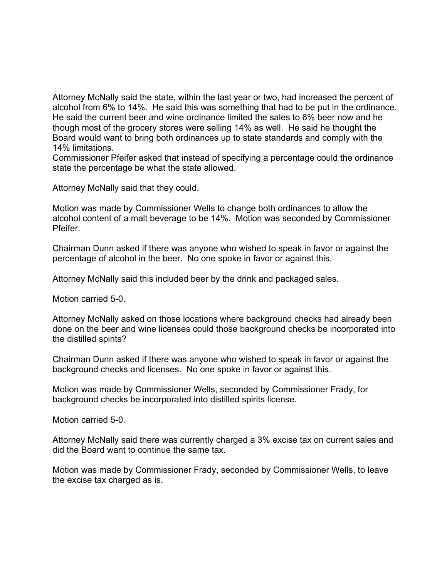Attorney McNally said the state, within the last year or two, had increased the percent of alcohol from 6% to 14%. He said this was something that had to be put in the ordinance. He said the current beer and wine ordinance limited the sales to 6% beer now and he though most of the grocery stores were selling 14% as well. He said he thought the Board would want to bring both ordinances up to state standards and comply with the 14% limitations.

Commissioner Pfeifer asked that instead of specifying a percentage could the ordinance state the percentage be what the state allowed.

Attorney McNally said that they could.

Motion was made by Commissioner Wells to change both ordinances to allow the alcohol content of a malt beverage to be 14%. Motion was seconded by Commissioner Pfeifer.

Chairman Dunn asked if there was anyone who wished to speak in favor or against the percentage of alcohol in the beer. No one spoke in favor or against this.

Attorney McNally said this included beer by the drink and packaged sales.

Motion carried 5-0.

Attorney McNally asked on those locations where background checks had already been done on the beer and wine licenses could those background checks be incorporated into the distilled spirits?

Chairman Dunn asked if there was anyone who wished to speak in favor or against the background checks and licenses. No one spoke in favor or against this.

Motion was made by Commissioner Wells, seconded by Commissioner Frady, for background checks be incorporated into distilled spirits license.

Motion carried 5-0.

Attorney McNally said there was currently charged a 3% excise tax on current sales and did the Board want to continue the same tax.

Motion was made by Commissioner Frady, seconded by Commissioner Wells, to leave the excise tax charged as is.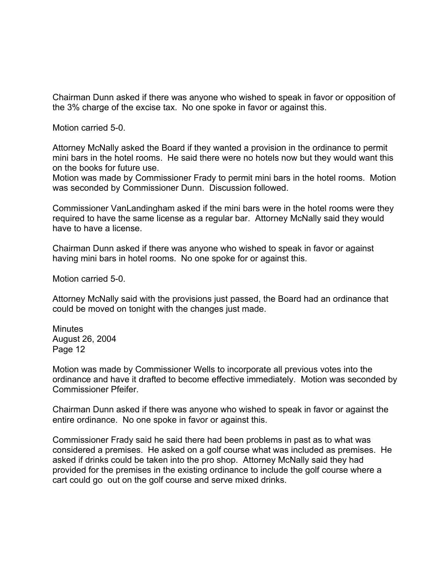Chairman Dunn asked if there was anyone who wished to speak in favor or opposition of the 3% charge of the excise tax. No one spoke in favor or against this.

Motion carried 5-0.

Attorney McNally asked the Board if they wanted a provision in the ordinance to permit mini bars in the hotel rooms. He said there were no hotels now but they would want this on the books for future use.

Motion was made by Commissioner Frady to permit mini bars in the hotel rooms. Motion was seconded by Commissioner Dunn. Discussion followed.

Commissioner VanLandingham asked if the mini bars were in the hotel rooms were they required to have the same license as a regular bar. Attorney McNally said they would have to have a license.

Chairman Dunn asked if there was anyone who wished to speak in favor or against having mini bars in hotel rooms. No one spoke for or against this.

Motion carried 5-0.

Attorney McNally said with the provisions just passed, the Board had an ordinance that could be moved on tonight with the changes just made.

Minutes August 26, 2004 Page 12

Motion was made by Commissioner Wells to incorporate all previous votes into the ordinance and have it drafted to become effective immediately. Motion was seconded by Commissioner Pfeifer.

Chairman Dunn asked if there was anyone who wished to speak in favor or against the entire ordinance. No one spoke in favor or against this.

Commissioner Frady said he said there had been problems in past as to what was considered a premises. He asked on a golf course what was included as premises. He asked if drinks could be taken into the pro shop. Attorney McNally said they had provided for the premises in the existing ordinance to include the golf course where a cart could go out on the golf course and serve mixed drinks.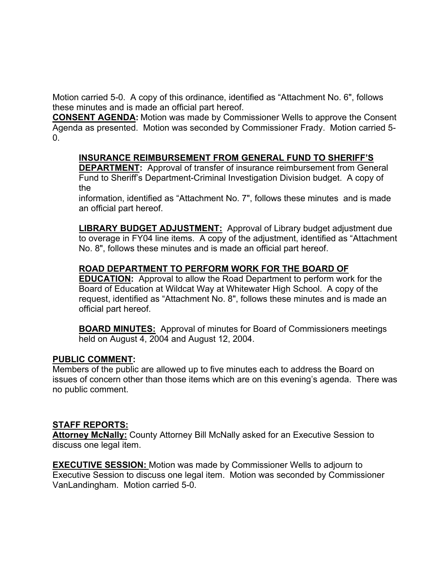Motion carried 5-0. A copy of this ordinance, identified as "Attachment No. 6", follows these minutes and is made an official part hereof.

**CONSENT AGENDA:** Motion was made by Commissioner Wells to approve the Consent Agenda as presented. Motion was seconded by Commissioner Frady. Motion carried 5-  $\Omega$ .

# **INSURANCE REIMBURSEMENT FROM GENERAL FUND TO SHERIFF'S**

**DEPARTMENT:** Approval of transfer of insurance reimbursement from General Fund to Sheriff's Department-Criminal Investigation Division budget.A copy of the

information, identified as "Attachment No. 7", follows these minutes and is made an official part hereof.

**LIBRARY BUDGET ADJUSTMENT:** Approval of Library budget adjustment due to overage in FY04 line items. A copy of the adjustment, identified as "Attachment No. 8", follows these minutes and is made an official part hereof.

## **ROAD DEPARTMENT TO PERFORM WORK FOR THE BOARD OF**

**EDUCATION:** Approval to allow the Road Department to perform work for the Board of Education at Wildcat Way at Whitewater High School. A copy of the request, identified as "Attachment No. 8", follows these minutes and is made an official part hereof.

**BOARD MINUTES:** Approval of minutes for Board of Commissioners meetings held on August 4, 2004 and August 12, 2004.

### **PUBLIC COMMENT:**

Members of the public are allowed up to five minutes each to address the Board on issues of concern other than those items which are on this evening's agenda. There was no public comment.

### **STAFF REPORTS:**

**Attorney McNally:** County Attorney Bill McNally asked for an Executive Session to discuss one legal item.

**EXECUTIVE SESSION:** Motion was made by Commissioner Wells to adjourn to Executive Session to discuss one legal item. Motion was seconded by Commissioner VanLandingham. Motion carried 5-0.